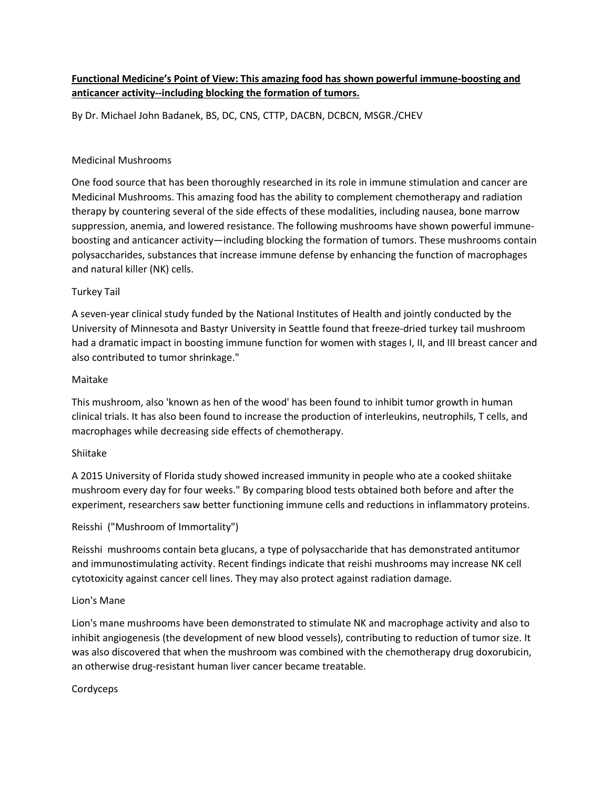# **Functional Medicine's Point of View: This amazing food has shown powerful immune-boosting and anticancer activity--including blocking the formation of tumors.**

By Dr. Michael John Badanek, BS, DC, CNS, CTTP, DACBN, DCBCN, MSGR./CHEV

### Medicinal Mushrooms

One food source that has been thoroughly researched in its role in immune stimulation and cancer are Medicinal Mushrooms. This amazing food has the ability to complement chemotherapy and radiation therapy by countering several of the side effects of these modalities, including nausea, bone marrow suppression, anemia, and lowered resistance. The following mushrooms have shown powerful immune boosting and anticancer activity—including blocking the formation of tumors. These mushrooms contain polysaccharides, substances that increase immune defense by enhancing the function of macrophages and natural killer (NK) cells.

## Turkey Tail

A seven-year clinical study funded by the National Institutes of Health and jointly conducted by the University of Minnesota and Bastyr University in Seattle found that freeze-dried turkey tail mushroom had a dramatic impact in boosting immune function for women with stages I, II, and III breast cancer and also contributed to tumor shrinkage."

#### Maitake

This mushroom, also 'known as hen of the wood' has been found to inhibit tumor growth in human clinical trials. It has also been found to increase the production of interleukins, neutrophils, T cells, and macrophages while decreasing side effects of chemotherapy.

#### Shiitake

A 2015 University of Florida study showed increased immunity in people who ate a cooked shiitake mushroom every day for four weeks." By comparing blood tests obtained both before and after the experiment, researchers saw better functioning immune cells and reductions in inflammatory proteins.<br>Reisshi ("Mushroom of Immortality")

Reisshi mushrooms contain beta glucans, a type of polysaccharide that has demonstrated antitumor and immunostimulating activity. Recent findings indicate that reishi mushrooms may increase NK cell cytotoxicity against cancer cell lines. They may also protect against radiation damage.

## Lion's Mane

Lion's mane mushrooms have been demonstrated to stimulate NK and macrophage activity and also to inhibit angiogenesis (the development of new blood vessels), contributing to reduction of tumor size. It was also discovered that when the mushroom was combined with the chemotherapy drug doxorubicin, an otherwise drug-resistant human liver cancer became treatable.

## Cordyceps